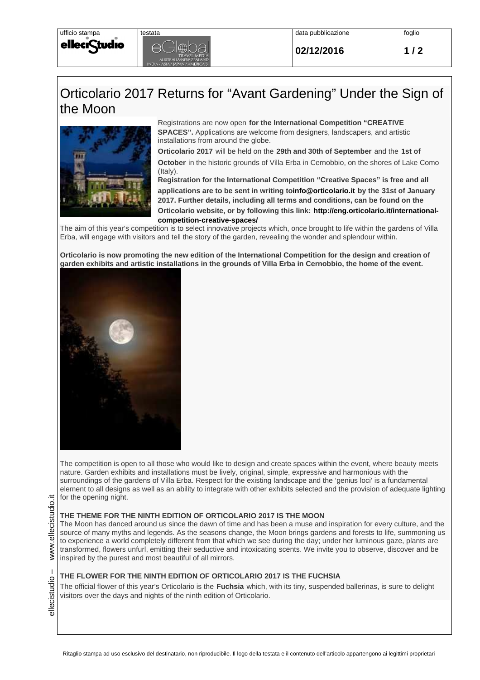**02/12/2016 1 / 2**

## Orticolario 2017 Returns for "Avant Gardening" Under the Sign of the Moon



tudio

ellecr

Registrations are now open **for the International Competition "CREATIVE SPACES".** Applications are welcome from designers, landscapers, and artistic installations from around the globe.

**Orticolario 2017** will be held on the **29th and 30th of September** and the **1st of** 

**October** in the historic grounds of Villa Erba in Cernobbio, on the shores of Lake Como (Italy).

**Registration for the International Competition "Creative Spaces" is free and all applications are to be sent in writing toinfo@orticolario.it by the 31st of January 2017. Further details, including all terms and conditions, can be found on the Orticolario website, or by following this link: http://eng.orticolario.it/internationalcompetition-creative-spaces/**

The aim of this year's competition is to select innovative projects which, once brought to life within the gardens of Villa Erba, will engage with visitors and tell the story of the garden, revealing the wonder and splendour within.

**Orticolario is now promoting the new edition of the International Competition for the design and creation of garden exhibits and artistic installations in the grounds of Villa Erba in Cernobbio, the home of the event.**



The competition is open to all those who would like to design and create spaces within the event, where beauty meets nature. Garden exhibits and installations must be lively, original, simple, expressive and harmonious with the surroundings of the gardens of Villa Erba. Respect for the existing landscape and the 'genius loci' is a fundamental element to all designs as well as an ability to integrate with other exhibits selected and the provision of adequate lighting for the opening night.

## **THE THEME FOR THE NINTH EDITION OF ORTICOLARIO 2017 IS THE MOON**

The Moon has danced around us since the dawn of time and has been a muse and inspiration for every culture, and the source of many myths and legends. As the seasons change, the Moon brings gardens and forests to life, summoning us to experience a world completely different from that which we see during the day; under her luminous gaze, plants are transformed, flowers unfurl, emitting their seductive and intoxicating scents. We invite you to observe, discover and be inspired by the purest and most beautiful of all mirrors.

## **THE FLOWER FOR THE NINTH EDITION OF ORTICOLARIO 2017 IS THE FUCHSIA**

The official flower of this year's Orticolario is the **Fuchsia** which, with its tiny, suspended ballerinas, is sure to delight visitors over the days and nights of the ninth edition of Orticolario.